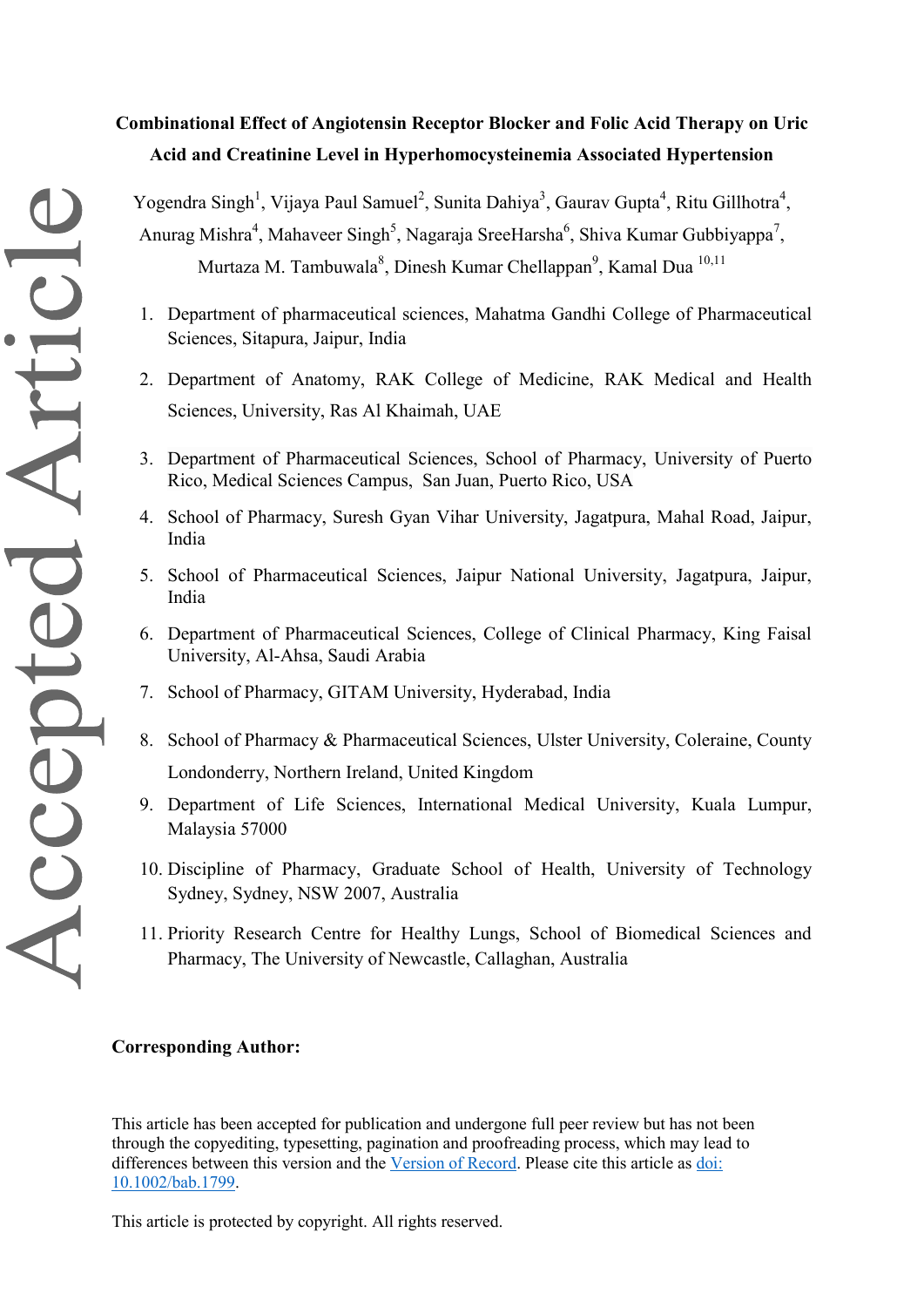# **Combinational Effect of Angiotensin Receptor Blocker and Folic Acid Therapy on Uric Acid and Creatinine Level in Hyperhomocysteinemia Associated Hypertension**

Yogendra Singh<sup>1</sup>, Vijaya Paul Samuel<sup>2</sup>, Sunita Dahiya<sup>3</sup>, Gaurav Gupta<sup>4</sup>, Ritu Gillhotra<sup>4</sup>, Anurag Mishra<sup>4</sup>, Mahaveer Singh<sup>5</sup>, Nagaraja SreeHarsha<sup>6</sup>, Shiva Kumar Gubbiyappa<sup>7</sup>, Murtaza M. Tambuwala<sup>8</sup>, Dinesh Kumar Chellappan<sup>9</sup>, Kamal Dua<sup>10,11</sup>

- 1. Department of pharmaceutical sciences, Mahatma Gandhi College of Pharmaceutical Sciences, Sitapura, Jaipur, India
- 2. Department of Anatomy, RAK College of Medicine, RAK Medical and Health Sciences, University, Ras Al Khaimah, UAE
- 3. Department of Pharmaceutical Sciences, School of Pharmacy, University of Puerto Rico, Medical Sciences Campus, San Juan, Puerto Rico, USA
- 4. School of Pharmacy, Suresh Gyan Vihar University, Jagatpura, Mahal Road, Jaipur, India
- 5. School of Pharmaceutical Sciences, Jaipur National University, Jagatpura, Jaipur, India
- 6. Department of Pharmaceutical Sciences, College of Clinical Pharmacy, King Faisal University, Al-Ahsa, Saudi Arabia
- 7. School of Pharmacy, GITAM University, Hyderabad, India
- 8. School of Pharmacy & Pharmaceutical Sciences, Ulster University, Coleraine, County Londonderry, Northern Ireland, United Kingdom
- 9. Department of Life Sciences, International Medical University, Kuala Lumpur, Malaysia 57000
- 10. Discipline of Pharmacy, Graduate School of Health, University of Technology Sydney, Sydney, NSW 2007, Australia
- 11. Priority Research Centre for Healthy Lungs, School of Biomedical Sciences and Pharmacy, The University of Newcastle, Callaghan, Australia

## **Corresponding Author:**

This article has been accepted for publication and undergone full peer review but has not been through the copyediting, typesetting, pagination and proofreading process, which may lead to differences between this version and the [Version of Record.](https://doi.org/10.1002/bab.1799) Please cite this article as [doi:](https://doi.org/10.1002/bab.1799)  [10.1002/bab.1799.](https://doi.org/10.1002/bab.1799)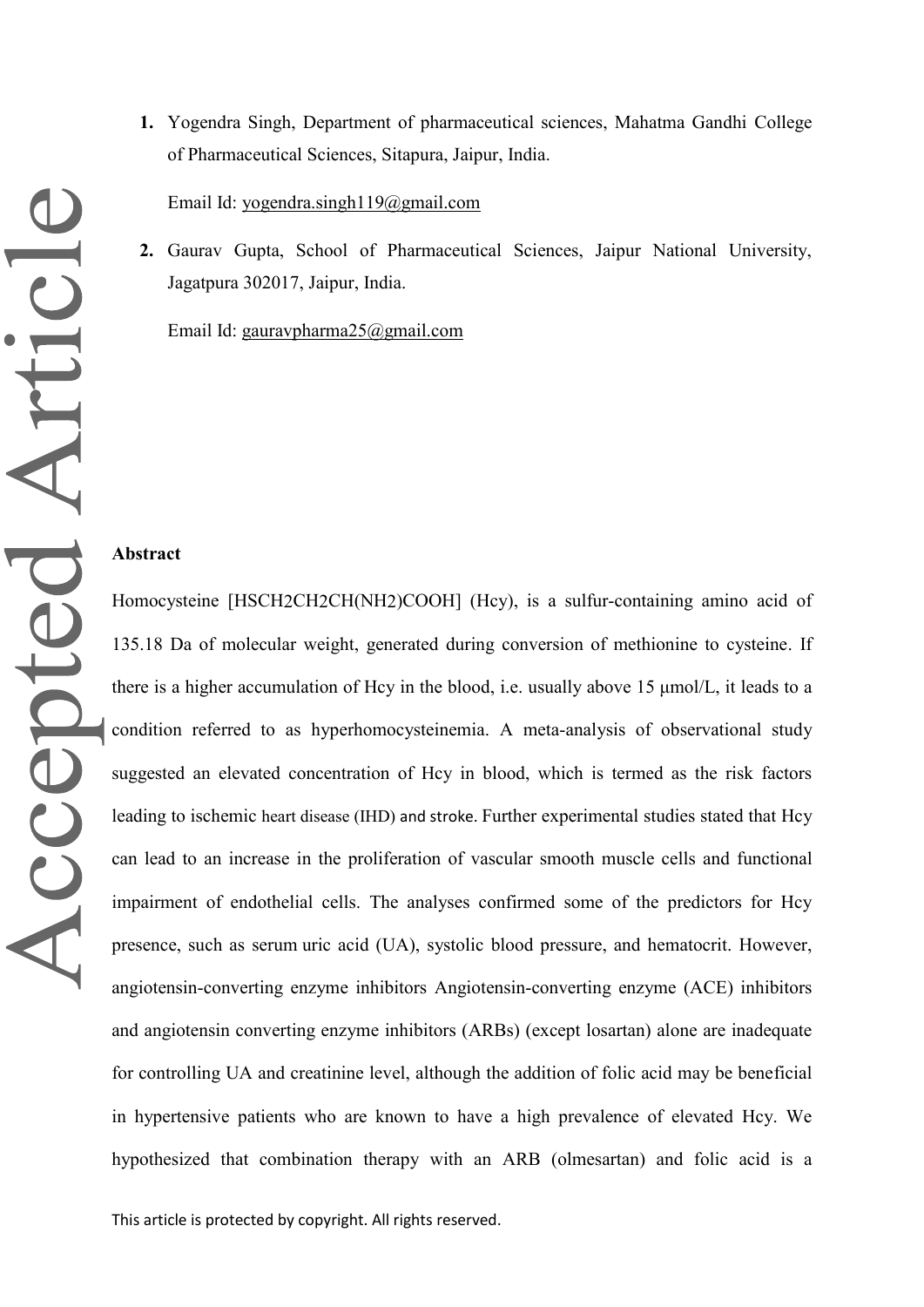**1.** Yogendra Singh, Department of pharmaceutical sciences, Mahatma Gandhi College of Pharmaceutical Sciences, Sitapura, Jaipur, India.

Email Id: [yogendra.singh119@gmail.com](mailto:yogendra.singh119@gmail.com)

**2.** Gaurav Gupta, School of Pharmaceutical Sciences, Jaipur National University, Jagatpura 302017, Jaipur, India.

Email Id: [gauravpharma25@gmail.com](mailto:gauravpharma25@gmail.com)

#### **Abstract**

Homocysteine [HSCH2CH2CH(NH2)COOH] (Hcy), is a sulfur-containing amino acid of 135.18 Da of molecular weight, generated during conversion of methionine to cysteine. If there is a higher accumulation of Hcy in the blood, i.e. usually above 15 μmol/L, it leads to a condition referred to as hyperhomocysteinemia. A meta-analysis of observational study suggested an elevated concentration of Hcy in blood, which is termed as the risk factors leading to ischemic heart disease (IHD) and stroke. Further experimental studies stated that Hcy can lead to an increase in the proliferation of vascular smooth muscle cells and functional impairment of endothelial cells. The analyses confirmed some of the predictors for Hcy presence, such as serum uric acid (UA), systolic blood pressure, and hematocrit. However, angiotensin-converting enzyme inhibitors Angiotensin-converting enzyme (ACE) inhibitors and angiotensin converting enzyme inhibitors (ARBs) (except losartan) alone are inadequate for controlling UA and creatinine level, although the addition of folic acid may be beneficial in hypertensive patients who are known to have a high prevalence of elevated Hcy. We hypothesized that combination therapy with an ARB (olmesartan) and folic acid is a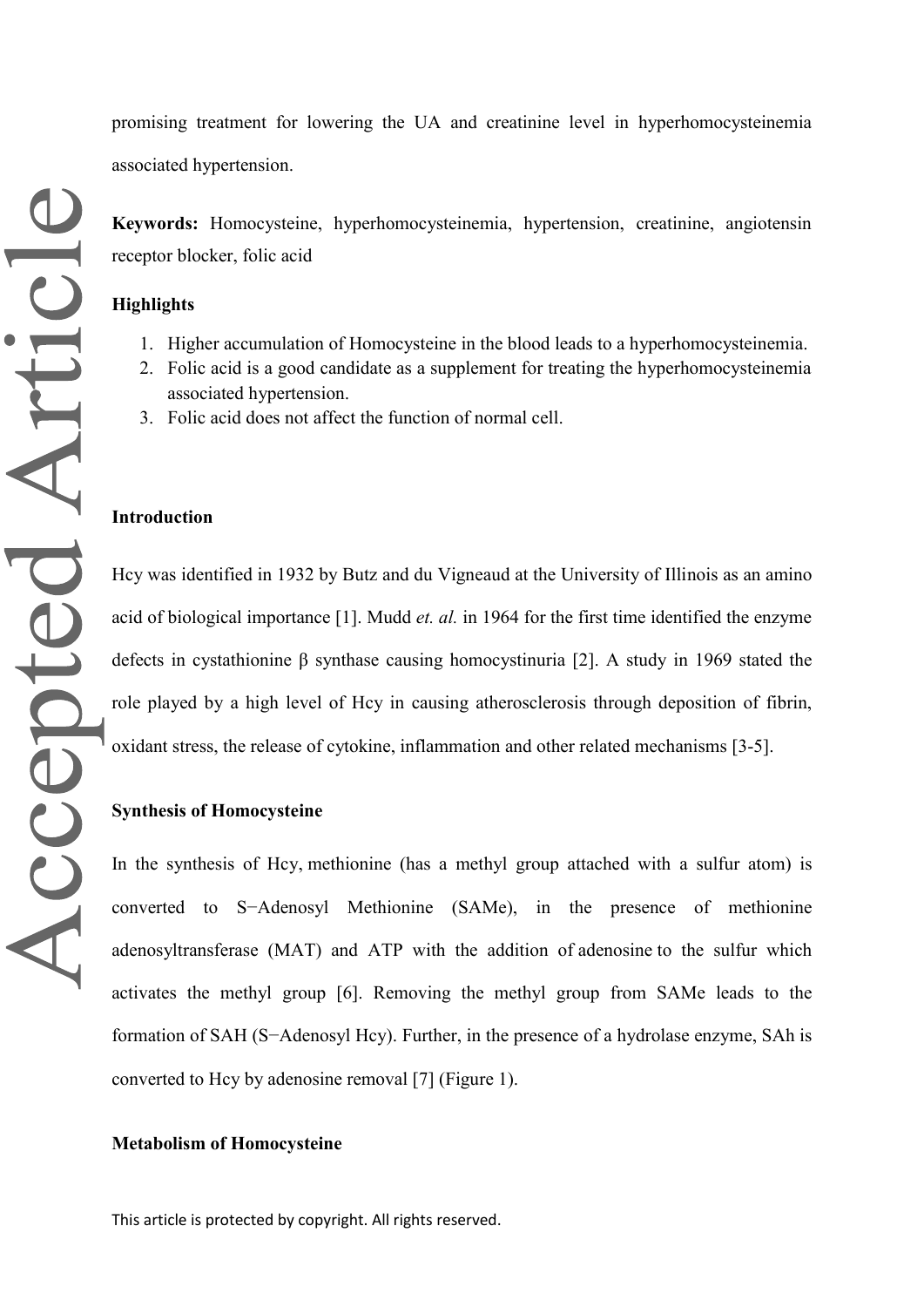promising treatment for lowering the UA and creatinine level in hyperhomocysteinemia associated hypertension.

**Keywords:** Homocysteine, hyperhomocysteinemia, hypertension, creatinine, angiotensin receptor blocker, folic acid

#### **Highlights**

- 1. Higher accumulation of Homocysteine in the blood leads to a hyperhomocysteinemia.
- 2. Folic acid is a good candidate as a supplement for treating the hyperhomocysteinemia associated hypertension.
- 3. Folic acid does not affect the function of normal cell.

## **Introduction**

Hcy was identified in 1932 by Butz and du Vigneaud at the University of Illinois as an amino acid of biological importance [1]. Mudd *et. al.* in 1964 for the first time identified the enzyme defects in cystathionine β synthase causing homocystinuria [2]. A study in 1969 stated the role played by a high level of Hcy in causing atherosclerosis through deposition of fibrin, oxidant stress, the release of cytokine, inflammation and other related mechanisms [3-5].

#### **Synthesis of Homocysteine**

In the synthesis of Hcy, methionine (has a methyl group attached with a sulfur atom) is converted to S−Adenosyl Methionine (SAMe), in the presence of methionine adenosyltransferase (MAT) and ATP with the addition of adenosine to the sulfur which activates the methyl group [6]. Removing the methyl group from SAMe leads to the formation of SAH (S−Adenosyl Hcy). Further, in the presence of a hydrolase enzyme, SAh is converted to Hcy by adenosine removal [7] (Figure 1).

#### **Metabolism of Homocysteine**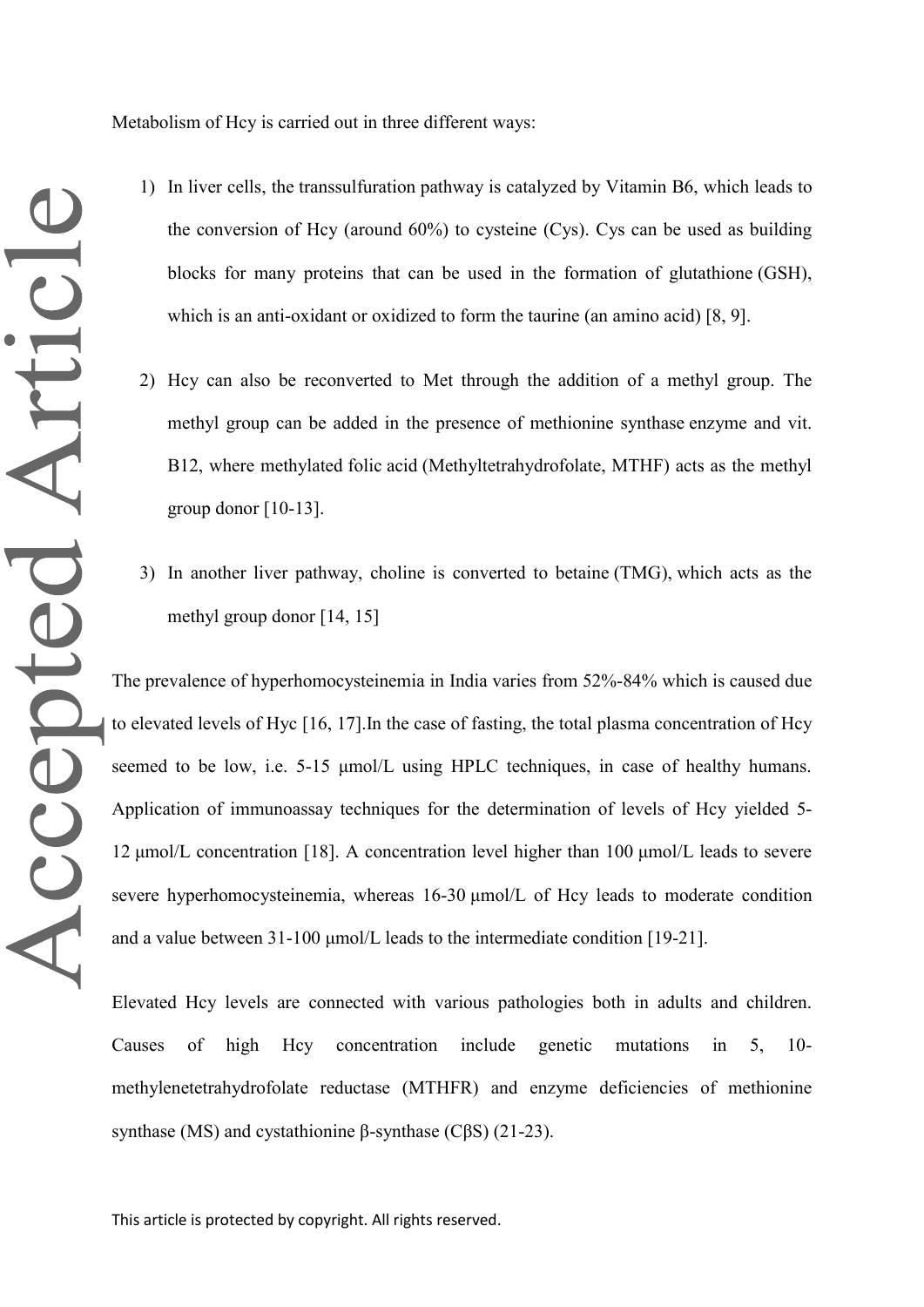Metabolism of Hcy is carried out in three different ways:

- 1) In liver cells, the transsulfuration pathway is catalyzed by Vitamin B6, which leads to the conversion of Hcy (around 60%) to cysteine (Cys). Cys can be used as building blocks for many proteins that can be used in the formation of glutathione (GSH), which is an anti-oxidant or oxidized to form the taurine (an amino acid) [8, 9].
- 2) Hcy can also be reconverted to Met through the addition of a methyl group. The methyl group can be added in the presence of methionine synthase enzyme and vit. B12, where methylated folic acid (Methyltetrahydrofolate, MTHF) acts as the methyl group donor [10-13].
- 3) In another liver pathway, choline is converted to betaine (TMG), which acts as the methyl group donor [14, 15]

The prevalence of hyperhomocysteinemia in India varies from 52%-84% which is caused due to elevated levels of Hyc [16, 17].In the case of fasting, the total plasma concentration of Hcy seemed to be low, i.e. 5-15 μmol/L using HPLC techniques, in case of healthy humans. Application of immunoassay techniques for the determination of levels of Hcy yielded 5- 12 μmol/L concentration [18]. A concentration level higher than 100 μmol/L leads to severe severe hyperhomocysteinemia, whereas 16-30 μmol/L of Hcy leads to moderate condition and a value between 31-100 μmol/L leads to the intermediate condition [19-21].

Elevated Hcy levels are connected with various pathologies both in adults and children. Causes of high Hcy concentration include genetic mutations in 5, 10 methylenetetrahydrofolate reductase (MTHFR) and enzyme deficiencies of methionine synthase (MS) and cystathionine β-synthase (CβS) (21-23).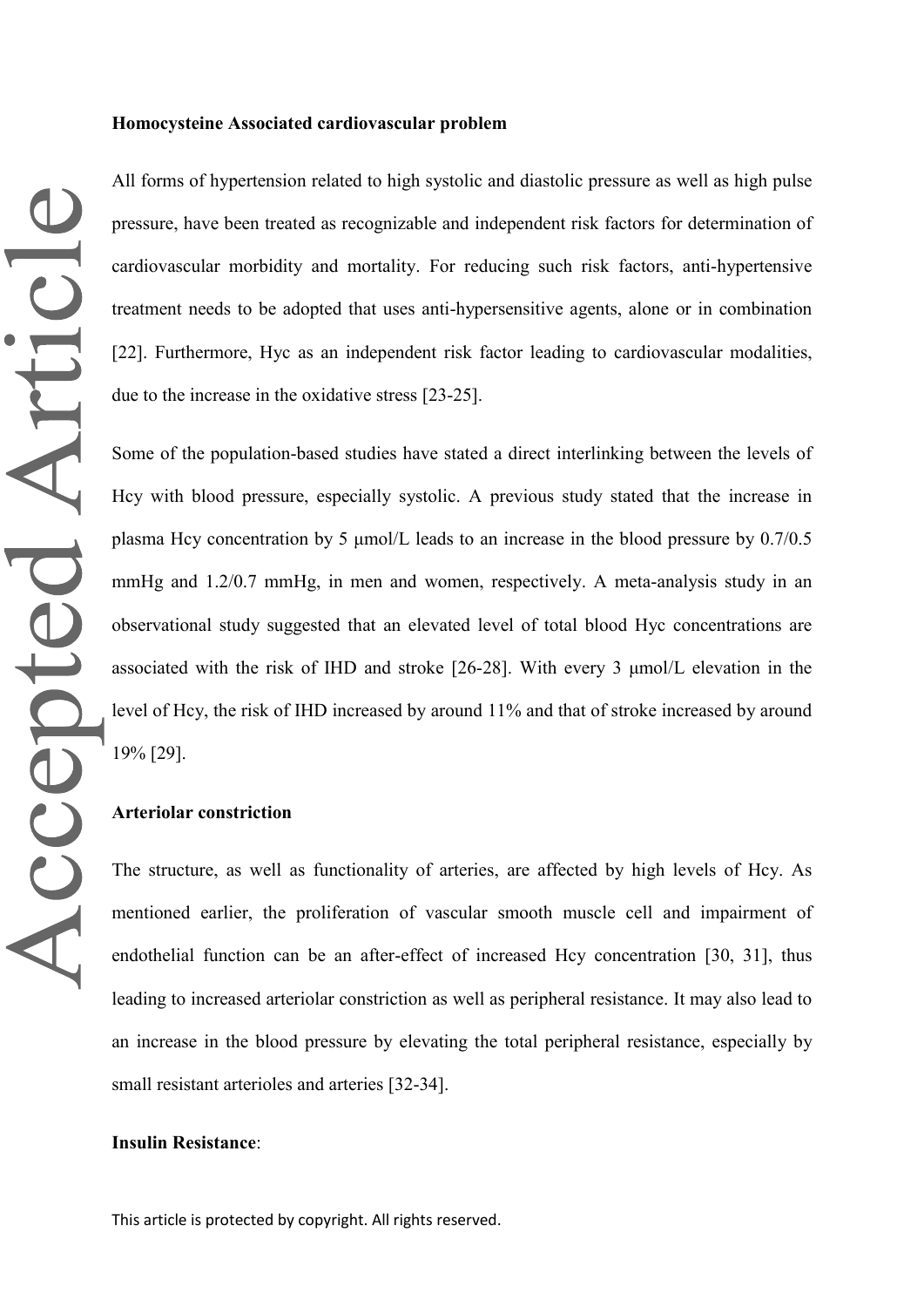#### **Homocysteine Associated cardiovascular problem**

All forms of hypertension related to high systolic and diastolic pressure as well as high pulse pressure, have been treated as recognizable and independent risk factors for determination of cardiovascular morbidity and mortality. For reducing such risk factors, anti-hypertensive treatment needs to be adopted that uses anti-hypersensitive agents, alone or in combination [22]. Furthermore, Hyc as an independent risk factor leading to cardiovascular modalities, due to the increase in the oxidative stress [23-25].

Some of the population-based studies have stated a direct interlinking between the levels of Hcy with blood pressure, especially systolic. A previous study stated that the increase in plasma Hcy concentration by 5 μmol/L leads to an increase in the blood pressure by 0.7/0.5 mmHg and 1.2/0.7 mmHg, in men and women, respectively. A meta-analysis study in an observational study suggested that an elevated level of total blood Hyc concentrations are associated with the risk of IHD and stroke [26-28]. With every 3 μmol/L elevation in the level of Hcy, the risk of IHD increased by around 11% and that of stroke increased by around 19% [29].

## **Arteriolar constriction**

The structure, as well as functionality of arteries, are affected by high levels of Hcy. As mentioned earlier, the proliferation of vascular smooth muscle cell and impairment of endothelial function can be an after-effect of increased Hcy concentration [30, 31], thus leading to increased arteriolar constriction as well as peripheral resistance. It may also lead to an increase in the blood pressure by elevating the total peripheral resistance, especially by small resistant arterioles and arteries [32-34].

#### **Insulin Resistance**: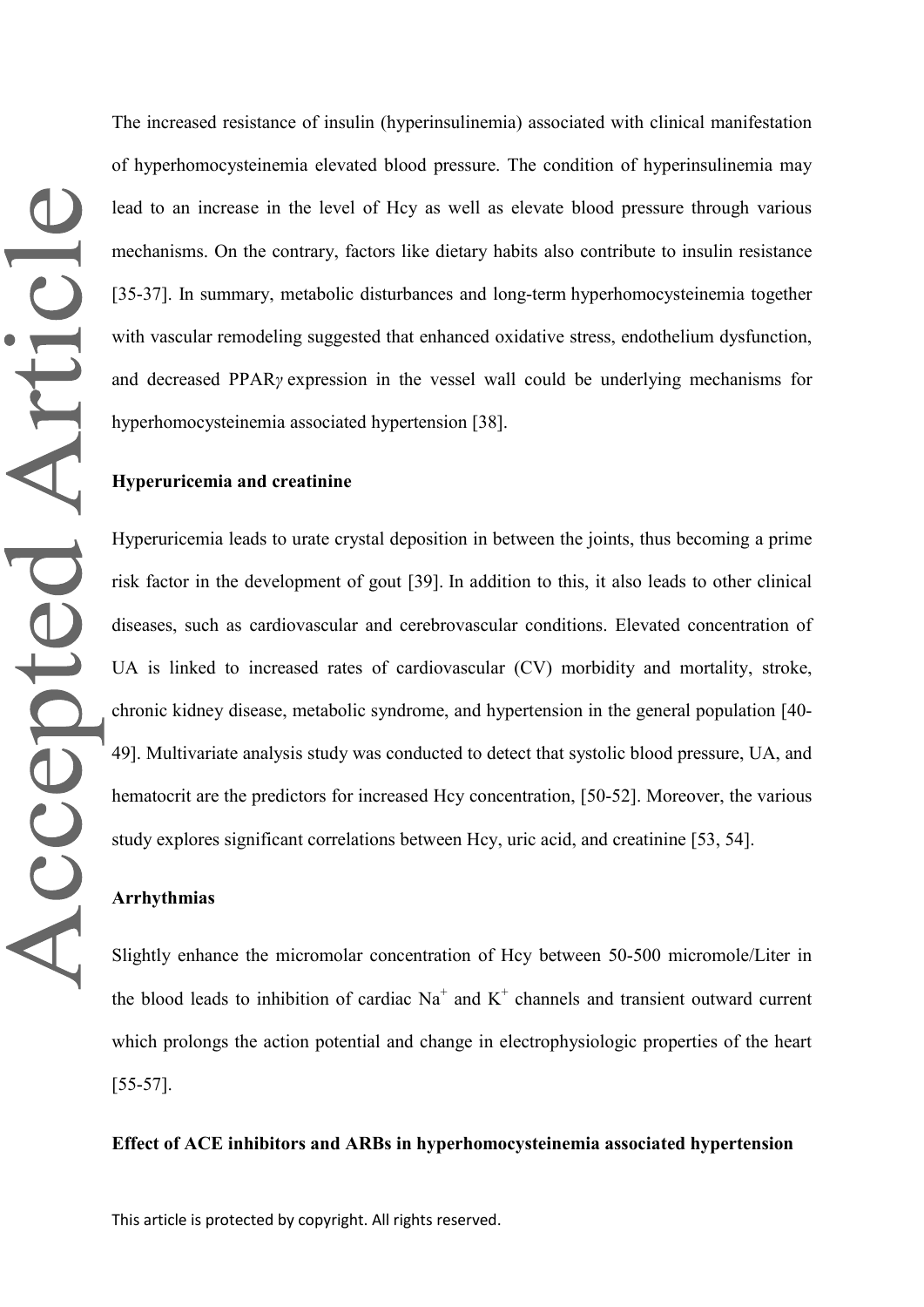The increased resistance of insulin (hyperinsulinemia) associated with clinical manifestation of hyperhomocysteinemia elevated blood pressure. The condition of hyperinsulinemia may lead to an increase in the level of Hcy as well as elevate blood pressure through various mechanisms. On the contrary, factors like dietary habits also contribute to insulin resistance [35-37]. In summary, metabolic disturbances and long-term hyperhomocysteinemia together with vascular remodeling suggested that enhanced oxidative stress, endothelium dysfunction, and decreased PPAR*γ* expression in the vessel wall could be underlying mechanisms for hyperhomocysteinemia associated hypertension [38].

## **Hyperuricemia and creatinine**

Hyperuricemia leads to urate crystal deposition in between the joints, thus becoming a prime risk factor in the development of gout [39]. In addition to this, it also leads to other clinical diseases, such as cardiovascular and cerebrovascular conditions. Elevated concentration of UA is linked to increased rates of cardiovascular (CV) morbidity and mortality, stroke, chronic kidney disease, metabolic syndrome, and hypertension in the general population [40- 49]. Multivariate analysis study was conducted to detect that systolic blood pressure, UA, and hematocrit are the predictors for increased Hcy concentration, [50-52]. Moreover, the various study explores significant correlations between Hcy, uric acid, and creatinine [53, 54].

# **Arrhythmias**

Slightly enhance the micromolar concentration of Hcy between 50-500 micromole/Liter in the blood leads to inhibition of cardiac  $Na<sup>+</sup>$  and  $K<sup>+</sup>$  channels and transient outward current which prolongs the action potential and change in electrophysiologic properties of the heart [55-57].

## **Effect of ACE inhibitors and ARBs in hyperhomocysteinemia associated hypertension**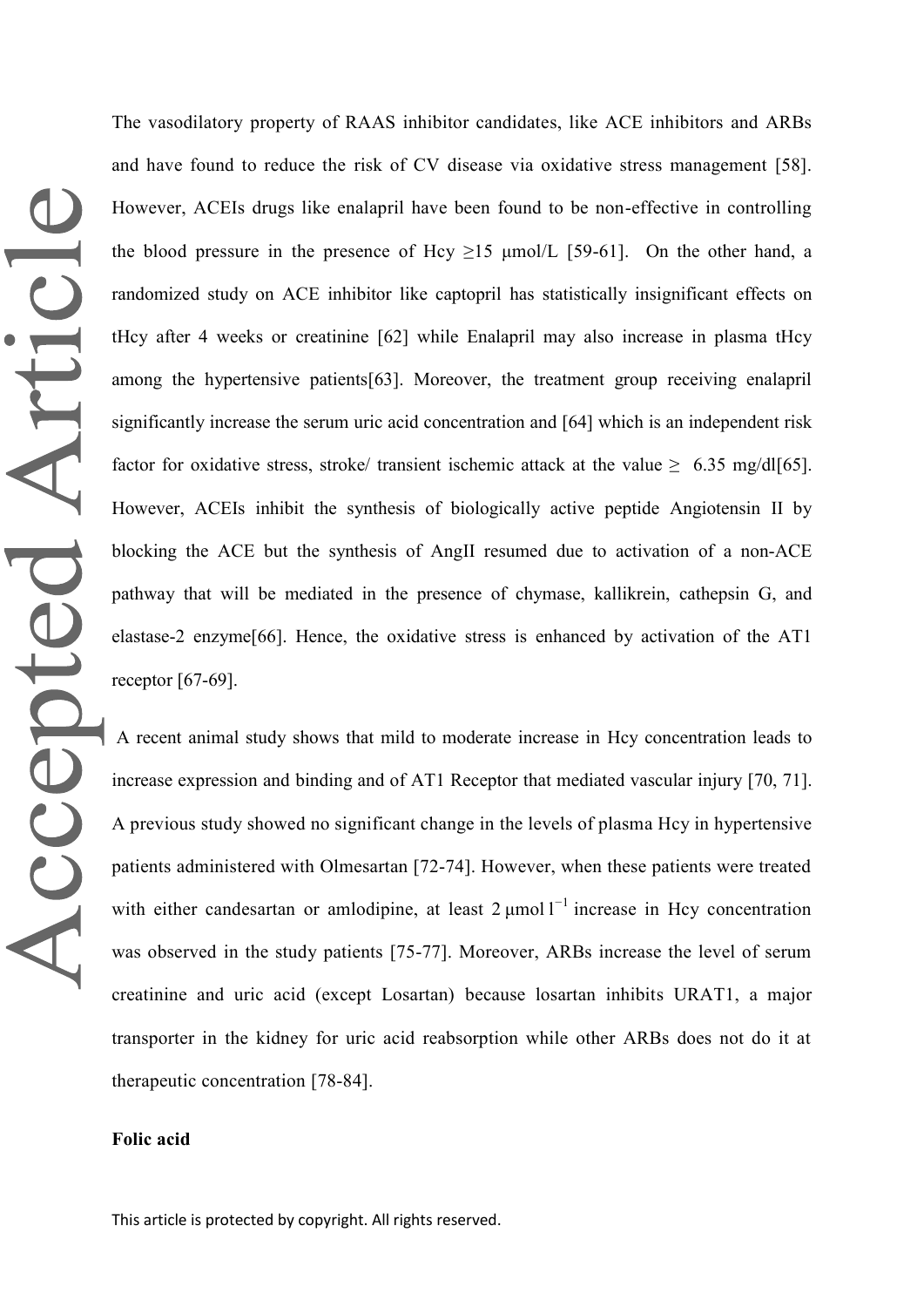The vasodilatory property of RAAS inhibitor candidates, like ACE inhibitors and ARBs and have found to reduce the risk of CV disease via oxidative stress management [58]. However, ACEIs drugs like enalapril have been found to be non-effective in controlling the blood pressure in the presence of Hcy  $>15$   $\mu$ mol/L [59-61]. On the other hand, a randomized study on ACE inhibitor like captopril has statistically insignificant effects on tHcy after 4 weeks or creatinine [62] while Enalapril may also increase in plasma tHcy among the hypertensive patients[63]. Moreover, the treatment group receiving enalapril significantly increase the serum uric acid concentration and [64] which is an independent risk factor for oxidative stress, stroke/ transient ischemic attack at the value  $\geq 6.35$  mg/dl[65]. However, ACEIs inhibit the synthesis of biologically active peptide Angiotensin II by blocking the ACE but the synthesis of AngII resumed due to activation of a non-ACE pathway that will be mediated in the presence of chymase, kallikrein, cathepsin G, and elastase-2 enzyme[66]. Hence, the oxidative stress is enhanced by activation of the AT1 receptor [67-69].

A recent animal study shows that mild to moderate increase in Hcy concentration leads to increase expression and binding and of AT1 Receptor that mediated vascular injury [70, 71]. A previous study showed no significant change in the levels of plasma Hcy in hypertensive patients administered with Olmesartan [72-74]. However, when these patients were treated with either candesartan or amlodipine, at least  $2 \mu$ mol $1^{-1}$  increase in Hcy concentration was observed in the study patients [75-77]. Moreover, ARBs increase the level of serum creatinine and uric acid (except Losartan) because losartan inhibits URAT1, a major transporter in the kidney for uric acid reabsorption while other ARBs does not do it at therapeutic concentration [78-84].

## **Folic acid**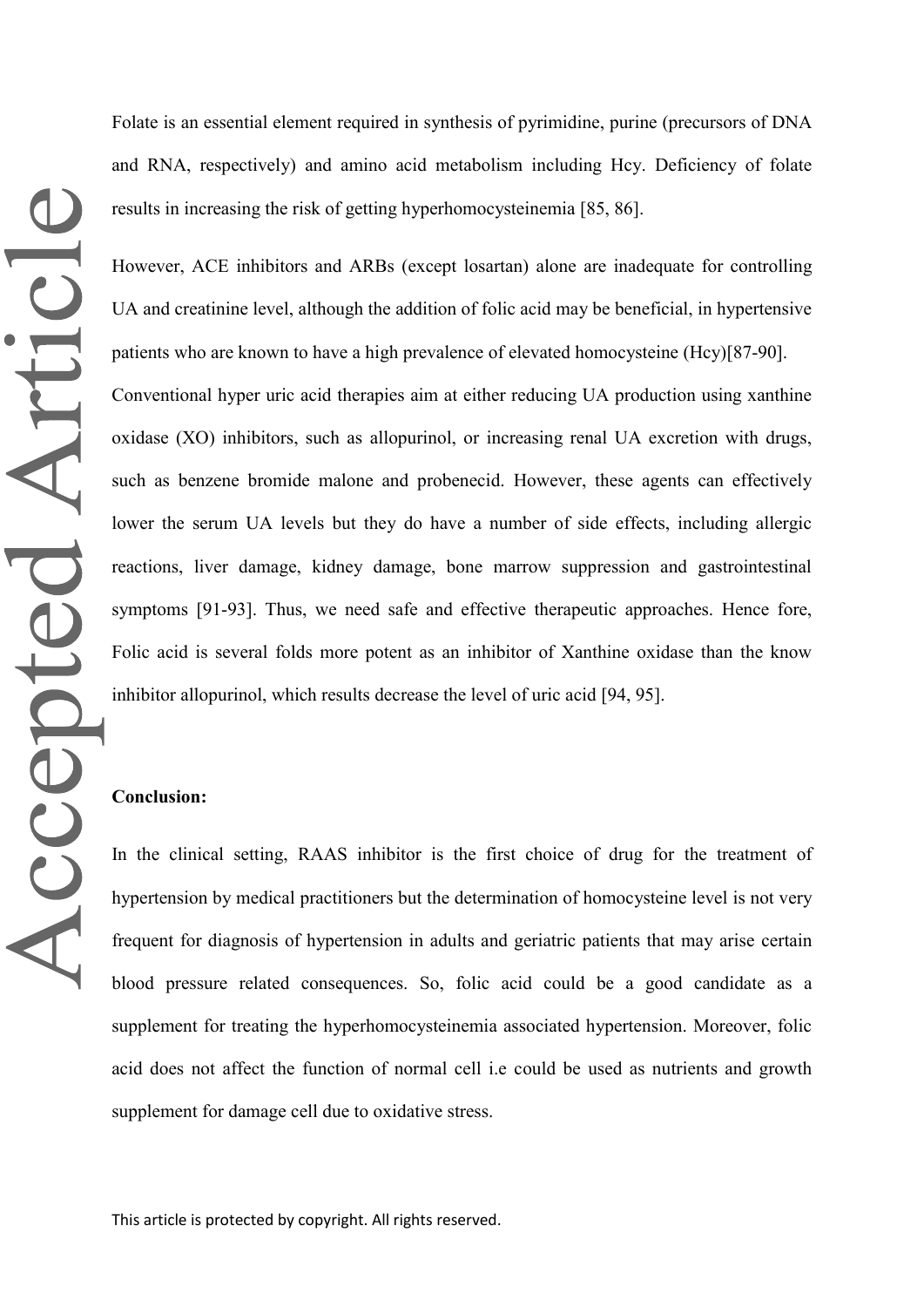Folate is an essential element required in synthesis of pyrimidine, purine (precursors of DNA and RNA, respectively) and amino acid metabolism including Hcy. Deficiency of folate results in increasing the risk of getting hyperhomocysteinemia [85, 86].

However, ACE inhibitors and ARBs (except losartan) alone are inadequate for controlling UA and creatinine level, although the addition of folic acid may be beneficial, in hypertensive patients who are known to have a high prevalence of elevated homocysteine (Hcy)[87-90].

Conventional hyper uric acid therapies aim at either reducing UA production using xanthine oxidase (XO) inhibitors, such as allopurinol, or increasing renal UA excretion with drugs, such as benzene bromide malone and probenecid. However, these agents can effectively lower the serum UA levels but they do have a number of side effects, including allergic reactions, liver damage, kidney damage, bone marrow suppression and gastrointestinal symptoms [91-93]. Thus, we need safe and effective therapeutic approaches. Hence fore, Folic acid is several folds more potent as an inhibitor of Xanthine oxidase than the know inhibitor allopurinol, which results decrease the level of uric acid [94, 95].

## **Conclusion:**

In the clinical setting, RAAS inhibitor is the first choice of drug for the treatment of hypertension by medical practitioners but the determination of homocysteine level is not very frequent for diagnosis of hypertension in adults and geriatric patients that may arise certain blood pressure related consequences. So, folic acid could be a good candidate as a supplement for treating the hyperhomocysteinemia associated hypertension. Moreover, folic acid does not affect the function of normal cell i.e could be used as nutrients and growth supplement for damage cell due to oxidative stress.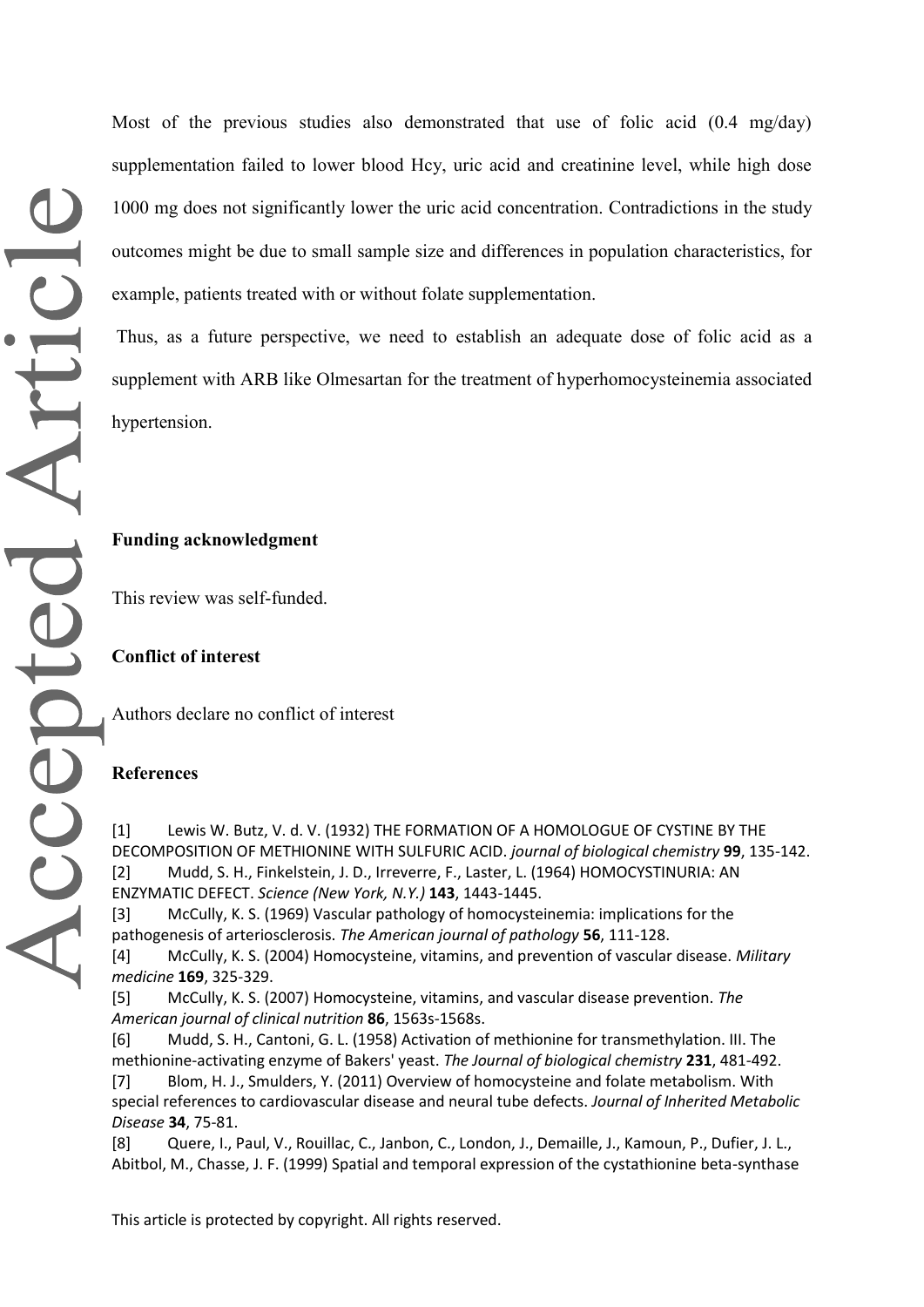Most of the previous studies also demonstrated that use of folic acid (0.4 mg/day) supplementation failed to lower blood Hcy, uric acid and creatinine level, while high dose 1000 mg does not significantly lower the uric acid concentration. Contradictions in the study outcomes might be due to small sample size and differences in population characteristics, for example, patients treated with or without folate supplementation.

Thus, as a future perspective, we need to establish an adequate dose of folic acid as a supplement with ARB like Olmesartan for the treatment of hyperhomocysteinemia associated hypertension.

## **Funding acknowledgment**

This review was self-funded.

**Conflict of interest**

Authors declare no conflict of interest

#### **References**

[1] Lewis W. Butz, V. d. V. (1932) THE FORMATION OF A HOMOLOGUE OF CYSTINE BY THE DECOMPOSITION OF METHIONINE WITH SULFURIC ACID. *journal of biological chemistry* **99**, 135-142. [2] Mudd, S. H., Finkelstein, J. D., Irreverre, F., Laster, L. (1964) HOMOCYSTINURIA: AN ENZYMATIC DEFECT. *Science (New York, N.Y.)* **143**, 1443-1445.

[3] McCully, K. S. (1969) Vascular pathology of homocysteinemia: implications for the pathogenesis of arteriosclerosis. *The American journal of pathology* **56**, 111-128.

[4] McCully, K. S. (2004) Homocysteine, vitamins, and prevention of vascular disease. *Military medicine* **169**, 325-329.

[5] McCully, K. S. (2007) Homocysteine, vitamins, and vascular disease prevention. *The American journal of clinical nutrition* **86**, 1563s-1568s.

[6] Mudd, S. H., Cantoni, G. L. (1958) Activation of methionine for transmethylation. III. The methionine-activating enzyme of Bakers' yeast. *The Journal of biological chemistry* **231**, 481-492.

[7] Blom, H. J., Smulders, Y. (2011) Overview of homocysteine and folate metabolism. With special references to cardiovascular disease and neural tube defects. *Journal of Inherited Metabolic Disease* **34**, 75-81.

[8] Quere, I., Paul, V., Rouillac, C., Janbon, C., London, J., Demaille, J., Kamoun, P., Dufier, J. L., Abitbol, M., Chasse, J. F. (1999) Spatial and temporal expression of the cystathionine beta-synthase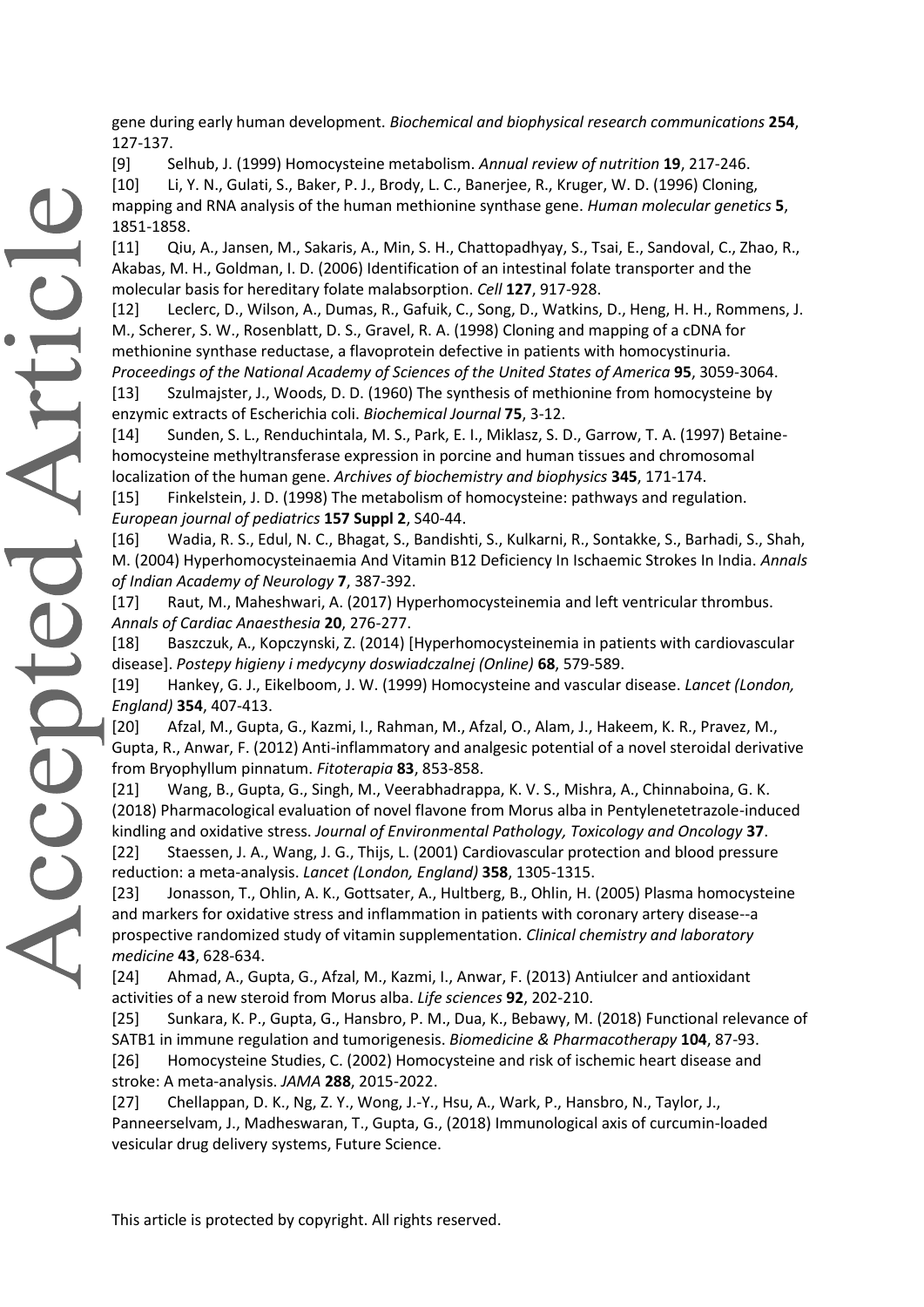gene during early human development. *Biochemical and biophysical research communications* **254**, 127-137.

[9] Selhub, J. (1999) Homocysteine metabolism. *Annual review of nutrition* **19**, 217-246.

[10] Li, Y. N., Gulati, S., Baker, P. J., Brody, L. C., Banerjee, R., Kruger, W. D. (1996) Cloning, mapping and RNA analysis of the human methionine synthase gene. *Human molecular genetics* **5**, 1851-1858.

[11] Qiu, A., Jansen, M., Sakaris, A., Min, S. H., Chattopadhyay, S., Tsai, E., Sandoval, C., Zhao, R., Akabas, M. H., Goldman, I. D. (2006) Identification of an intestinal folate transporter and the molecular basis for hereditary folate malabsorption. *Cell* **127**, 917-928.

[12] Leclerc, D., Wilson, A., Dumas, R., Gafuik, C., Song, D., Watkins, D., Heng, H. H., Rommens, J. M., Scherer, S. W., Rosenblatt, D. S., Gravel, R. A. (1998) Cloning and mapping of a cDNA for methionine synthase reductase, a flavoprotein defective in patients with homocystinuria. *Proceedings of the National Academy of Sciences of the United States of America* **95**, 3059-3064.

[13] Szulmajster, J., Woods, D. D. (1960) The synthesis of methionine from homocysteine by enzymic extracts of Escherichia coli. *Biochemical Journal* **75**, 3-12.

[14] Sunden, S. L., Renduchintala, M. S., Park, E. I., Miklasz, S. D., Garrow, T. A. (1997) Betainehomocysteine methyltransferase expression in porcine and human tissues and chromosomal localization of the human gene. *Archives of biochemistry and biophysics* **345**, 171-174.

[15] Finkelstein, J. D. (1998) The metabolism of homocysteine: pathways and regulation. *European journal of pediatrics* **157 Suppl 2**, S40-44.

[16] Wadia, R. S., Edul, N. C., Bhagat, S., Bandishti, S., Kulkarni, R., Sontakke, S., Barhadi, S., Shah, M. (2004) Hyperhomocysteinaemia And Vitamin B12 Deficiency In Ischaemic Strokes In India. *Annals of Indian Academy of Neurology* **7**, 387-392.

[17] Raut, M., Maheshwari, A. (2017) Hyperhomocysteinemia and left ventricular thrombus. *Annals of Cardiac Anaesthesia* **20**, 276-277.

[18] Baszczuk, A., Kopczynski, Z. (2014) [Hyperhomocysteinemia in patients with cardiovascular disease]. *Postepy higieny i medycyny doswiadczalnej (Online)* **68**, 579-589.

[19] Hankey, G. J., Eikelboom, J. W. (1999) Homocysteine and vascular disease. *Lancet (London, England)* **354**, 407-413.

[20] Afzal, M., Gupta, G., Kazmi, I., Rahman, M., Afzal, O., Alam, J., Hakeem, K. R., Pravez, M., Gupta, R., Anwar, F. (2012) Anti-inflammatory and analgesic potential of a novel steroidal derivative from Bryophyllum pinnatum. *Fitoterapia* **83**, 853-858.

[21] Wang, B., Gupta, G., Singh, M., Veerabhadrappa, K. V. S., Mishra, A., Chinnaboina, G. K. (2018) Pharmacological evaluation of novel flavone from Morus alba in Pentylenetetrazole-induced kindling and oxidative stress. *Journal of Environmental Pathology, Toxicology and Oncology* **37**.

[22] Staessen, J. A., Wang, J. G., Thijs, L. (2001) Cardiovascular protection and blood pressure reduction: a meta-analysis. *Lancet (London, England)* **358**, 1305-1315.

[23] Jonasson, T., Ohlin, A. K., Gottsater, A., Hultberg, B., Ohlin, H. (2005) Plasma homocysteine and markers for oxidative stress and inflammation in patients with coronary artery disease--a prospective randomized study of vitamin supplementation. *Clinical chemistry and laboratory medicine* **43**, 628-634.

[24] Ahmad, A., Gupta, G., Afzal, M., Kazmi, I., Anwar, F. (2013) Antiulcer and antioxidant activities of a new steroid from Morus alba. *Life sciences* **92**, 202-210.

[25] Sunkara, K. P., Gupta, G., Hansbro, P. M., Dua, K., Bebawy, M. (2018) Functional relevance of SATB1 in immune regulation and tumorigenesis. *Biomedicine & Pharmacotherapy* **104**, 87-93. [26] Homocysteine Studies, C. (2002) Homocysteine and risk of ischemic heart disease and stroke: A meta-analysis. *JAMA* **288**, 2015-2022.

[27] Chellappan, D. K., Ng, Z. Y., Wong, J.-Y., Hsu, A., Wark, P., Hansbro, N., Taylor, J., Panneerselvam, J., Madheswaran, T., Gupta, G., (2018) Immunological axis of curcumin-loaded vesicular drug delivery systems, Future Science.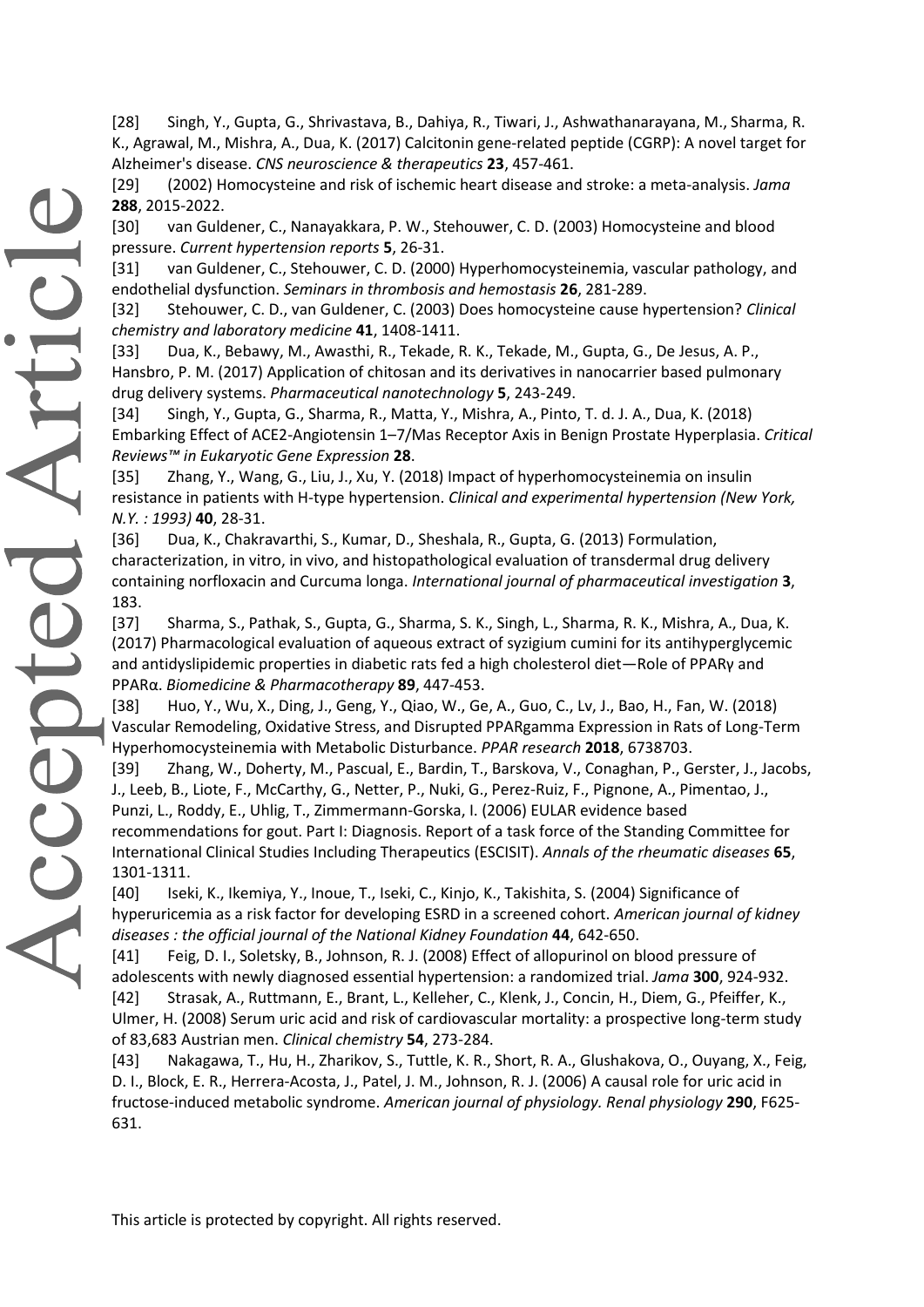[28] Singh, Y., Gupta, G., Shrivastava, B., Dahiya, R., Tiwari, J., Ashwathanarayana, M., Sharma, R. K., Agrawal, M., Mishra, A., Dua, K. (2017) Calcitonin gene‐related peptide (CGRP): A novel target for Alzheimer's disease. *CNS neuroscience & therapeutics* **23**, 457-461.

[29] (2002) Homocysteine and risk of ischemic heart disease and stroke: a meta-analysis. *Jama* **288**, 2015-2022.

[30] van Guldener, C., Nanayakkara, P. W., Stehouwer, C. D. (2003) Homocysteine and blood pressure. *Current hypertension reports* **5**, 26-31.

[31] van Guldener, C., Stehouwer, C. D. (2000) Hyperhomocysteinemia, vascular pathology, and endothelial dysfunction. *Seminars in thrombosis and hemostasis* **26**, 281-289.

[32] Stehouwer, C. D., van Guldener, C. (2003) Does homocysteine cause hypertension? *Clinical chemistry and laboratory medicine* **41**, 1408-1411.

[33] Dua, K., Bebawy, M., Awasthi, R., Tekade, R. K., Tekade, M., Gupta, G., De Jesus, A. P., Hansbro, P. M. (2017) Application of chitosan and its derivatives in nanocarrier based pulmonary drug delivery systems. *Pharmaceutical nanotechnology* **5**, 243-249.

[34] Singh, Y., Gupta, G., Sharma, R., Matta, Y., Mishra, A., Pinto, T. d. J. A., Dua, K. (2018) Embarking Effect of ACE2-Angiotensin 1–7/Mas Receptor Axis in Benign Prostate Hyperplasia. *Critical Reviews™ in Eukaryotic Gene Expression* **28**.

[35] Zhang, Y., Wang, G., Liu, J., Xu, Y. (2018) Impact of hyperhomocysteinemia on insulin resistance in patients with H-type hypertension. *Clinical and experimental hypertension (New York, N.Y. : 1993)* **40**, 28-31.

[36] Dua, K., Chakravarthi, S., Kumar, D., Sheshala, R., Gupta, G. (2013) Formulation, characterization, in vitro, in vivo, and histopathological evaluation of transdermal drug delivery containing norfloxacin and Curcuma longa. *International journal of pharmaceutical investigation* **3**, 183.

[37] Sharma, S., Pathak, S., Gupta, G., Sharma, S. K., Singh, L., Sharma, R. K., Mishra, A., Dua, K. (2017) Pharmacological evaluation of aqueous extract of syzigium cumini for its antihyperglycemic and antidyslipidemic properties in diabetic rats fed a high cholesterol diet—Role of PPARγ and PPARα. *Biomedicine & Pharmacotherapy* **89**, 447-453.

[38] Huo, Y., Wu, X., Ding, J., Geng, Y., Qiao, W., Ge, A., Guo, C., Lv, J., Bao, H., Fan, W. (2018) Vascular Remodeling, Oxidative Stress, and Disrupted PPARgamma Expression in Rats of Long-Term Hyperhomocysteinemia with Metabolic Disturbance. *PPAR research* **2018**, 6738703.

[39] Zhang, W., Doherty, M., Pascual, E., Bardin, T., Barskova, V., Conaghan, P., Gerster, J., Jacobs, J., Leeb, B., Liote, F., McCarthy, G., Netter, P., Nuki, G., Perez-Ruiz, F., Pignone, A., Pimentao, J., Punzi, L., Roddy, E., Uhlig, T., Zimmermann-Gorska, I. (2006) EULAR evidence based recommendations for gout. Part I: Diagnosis. Report of a task force of the Standing Committee for International Clinical Studies Including Therapeutics (ESCISIT). *Annals of the rheumatic diseases* **65**, 1301-1311.

[40] Iseki, K., Ikemiya, Y., Inoue, T., Iseki, C., Kinjo, K., Takishita, S. (2004) Significance of hyperuricemia as a risk factor for developing ESRD in a screened cohort. *American journal of kidney diseases : the official journal of the National Kidney Foundation* **44**, 642-650.

[41] Feig, D. I., Soletsky, B., Johnson, R. J. (2008) Effect of allopurinol on blood pressure of adolescents with newly diagnosed essential hypertension: a randomized trial. *Jama* **300**, 924-932. [42] Strasak, A., Ruttmann, E., Brant, L., Kelleher, C., Klenk, J., Concin, H., Diem, G., Pfeiffer, K., Ulmer, H. (2008) Serum uric acid and risk of cardiovascular mortality: a prospective long-term study of 83,683 Austrian men. *Clinical chemistry* **54**, 273-284.

[43] Nakagawa, T., Hu, H., Zharikov, S., Tuttle, K. R., Short, R. A., Glushakova, O., Ouyang, X., Feig, D. I., Block, E. R., Herrera-Acosta, J., Patel, J. M., Johnson, R. J. (2006) A causal role for uric acid in fructose-induced metabolic syndrome. *American journal of physiology. Renal physiology* **290**, F625- 631.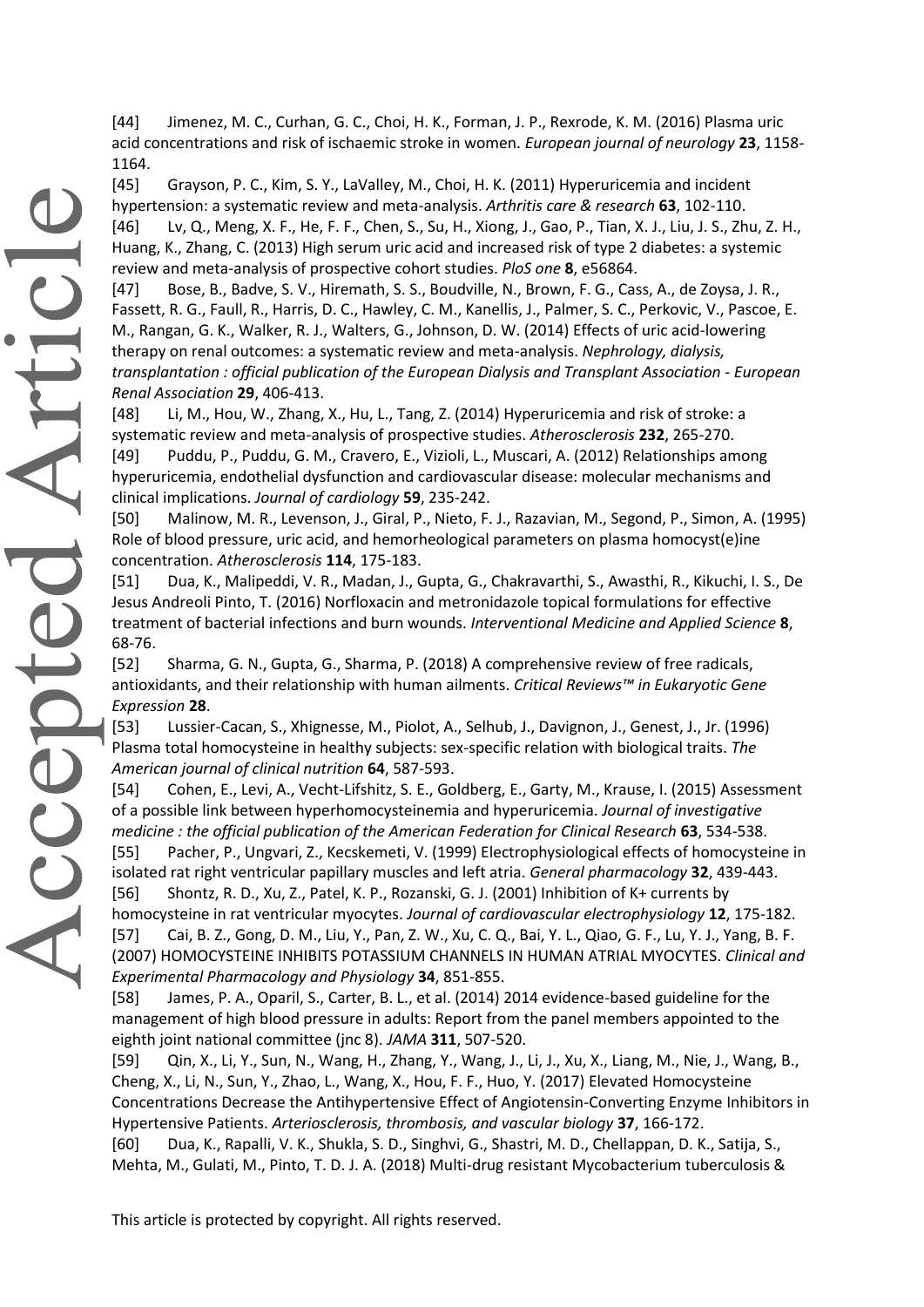[44] Jimenez, M. C., Curhan, G. C., Choi, H. K., Forman, J. P., Rexrode, K. M. (2016) Plasma uric acid concentrations and risk of ischaemic stroke in women. *European journal of neurology* **23**, 1158- 1164.

[45] Grayson, P. C., Kim, S. Y., LaValley, M., Choi, H. K. (2011) Hyperuricemia and incident hypertension: a systematic review and meta-analysis. *Arthritis care & research* **63**, 102-110. [46] Lv, Q., Meng, X. F., He, F. F., Chen, S., Su, H., Xiong, J., Gao, P., Tian, X. J., Liu, J. S., Zhu, Z. H., Huang, K., Zhang, C. (2013) High serum uric acid and increased risk of type 2 diabetes: a systemic review and meta-analysis of prospective cohort studies. *PloS one* **8**, e56864.

[47] Bose, B., Badve, S. V., Hiremath, S. S., Boudville, N., Brown, F. G., Cass, A., de Zoysa, J. R., Fassett, R. G., Faull, R., Harris, D. C., Hawley, C. M., Kanellis, J., Palmer, S. C., Perkovic, V., Pascoe, E. M., Rangan, G. K., Walker, R. J., Walters, G., Johnson, D. W. (2014) Effects of uric acid-lowering therapy on renal outcomes: a systematic review and meta-analysis. *Nephrology, dialysis, transplantation : official publication of the European Dialysis and Transplant Association - European Renal Association* **29**, 406-413.

[48] Li, M., Hou, W., Zhang, X., Hu, L., Tang, Z. (2014) Hyperuricemia and risk of stroke: a systematic review and meta-analysis of prospective studies. *Atherosclerosis* **232**, 265-270. [49] Puddu, P., Puddu, G. M., Cravero, E., Vizioli, L., Muscari, A. (2012) Relationships among hyperuricemia, endothelial dysfunction and cardiovascular disease: molecular mechanisms and clinical implications. *Journal of cardiology* **59**, 235-242.

[50] Malinow, M. R., Levenson, J., Giral, P., Nieto, F. J., Razavian, M., Segond, P., Simon, A. (1995) Role of blood pressure, uric acid, and hemorheological parameters on plasma homocyst(e)ine concentration. *Atherosclerosis* **114**, 175-183.

[51] Dua, K., Malipeddi, V. R., Madan, J., Gupta, G., Chakravarthi, S., Awasthi, R., Kikuchi, I. S., De Jesus Andreoli Pinto, T. (2016) Norfloxacin and metronidazole topical formulations for effective treatment of bacterial infections and burn wounds. *Interventional Medicine and Applied Science* **8**, 68-76.

[52] Sharma, G. N., Gupta, G., Sharma, P. (2018) A comprehensive review of free radicals, antioxidants, and their relationship with human ailments. *Critical Reviews™ in Eukaryotic Gene Expression* **28**.

[53] Lussier-Cacan, S., Xhignesse, M., Piolot, A., Selhub, J., Davignon, J., Genest, J., Jr. (1996) Plasma total homocysteine in healthy subjects: sex-specific relation with biological traits. *The American journal of clinical nutrition* **64**, 587-593.

[54] Cohen, E., Levi, A., Vecht-Lifshitz, S. E., Goldberg, E., Garty, M., Krause, I. (2015) Assessment of a possible link between hyperhomocysteinemia and hyperuricemia. *Journal of investigative medicine : the official publication of the American Federation for Clinical Research* **63**, 534-538.

[55] Pacher, P., Ungvari, Z., Kecskemeti, V. (1999) Electrophysiological effects of homocysteine in isolated rat right ventricular papillary muscles and left atria. *General pharmacology* **32**, 439-443. [56] Shontz, R. D., Xu, Z., Patel, K. P., Rozanski, G. J. (2001) Inhibition of K+ currents by homocysteine in rat ventricular myocytes. *Journal of cardiovascular electrophysiology* **12**, 175-182.

[57] Cai, B. Z., Gong, D. M., Liu, Y., Pan, Z. W., Xu, C. Q., Bai, Y. L., Qiao, G. F., Lu, Y. J., Yang, B. F. (2007) HOMOCYSTEINE INHIBITS POTASSIUM CHANNELS IN HUMAN ATRIAL MYOCYTES. *Clinical and Experimental Pharmacology and Physiology* **34**, 851-855.

[58] James, P. A., Oparil, S., Carter, B. L., et al. (2014) 2014 evidence-based guideline for the management of high blood pressure in adults: Report from the panel members appointed to the eighth joint national committee (jnc 8). *JAMA* **311**, 507-520.

[59] Qin, X., Li, Y., Sun, N., Wang, H., Zhang, Y., Wang, J., Li, J., Xu, X., Liang, M., Nie, J., Wang, B., Cheng, X., Li, N., Sun, Y., Zhao, L., Wang, X., Hou, F. F., Huo, Y. (2017) Elevated Homocysteine Concentrations Decrease the Antihypertensive Effect of Angiotensin-Converting Enzyme Inhibitors in Hypertensive Patients. *Arteriosclerosis, thrombosis, and vascular biology* **37**, 166-172.

[60] Dua, K., Rapalli, V. K., Shukla, S. D., Singhvi, G., Shastri, M. D., Chellappan, D. K., Satija, S., Mehta, M., Gulati, M., Pinto, T. D. J. A. (2018) Multi-drug resistant Mycobacterium tuberculosis &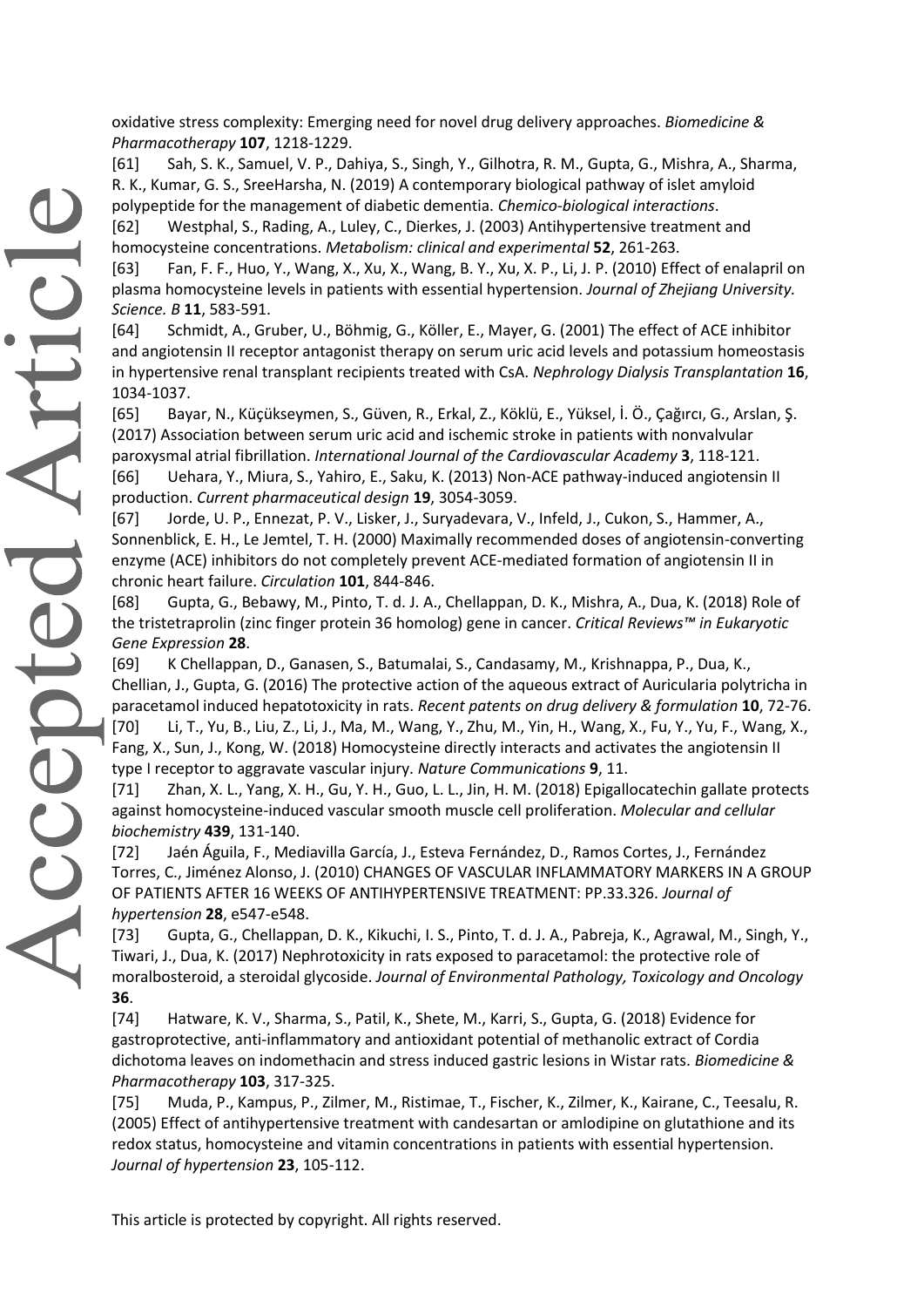oxidative stress complexity: Emerging need for novel drug delivery approaches. *Biomedicine & Pharmacotherapy* **107**, 1218-1229.

[61] Sah, S. K., Samuel, V. P., Dahiya, S., Singh, Y., Gilhotra, R. M., Gupta, G., Mishra, A., Sharma, R. K., Kumar, G. S., SreeHarsha, N. (2019) A contemporary biological pathway of islet amyloid polypeptide for the management of diabetic dementia. *Chemico-biological interactions*. [62] Westphal, S., Rading, A., Luley, C., Dierkes, J. (2003) Antihypertensive treatment and homocysteine concentrations. *Metabolism: clinical and experimental* **52**, 261-263.

[63] Fan, F. F., Huo, Y., Wang, X., Xu, X., Wang, B. Y., Xu, X. P., Li, J. P. (2010) Effect of enalapril on plasma homocysteine levels in patients with essential hypertension. *Journal of Zhejiang University. Science. B* **11**, 583-591.

[64] Schmidt, A., Gruber, U., Böhmig, G., Köller, E., Mayer, G. (2001) The effect of ACE inhibitor and angiotensin II receptor antagonist therapy on serum uric acid levels and potassium homeostasis in hypertensive renal transplant recipients treated with CsA. *Nephrology Dialysis Transplantation* **16**, 1034-1037.

[65] Bayar, N., Küçükseymen, S., Güven, R., Erkal, Z., Köklü, E., Yüksel, İ. Ö., Çağırcı, G., Arslan, Ş. (2017) Association between serum uric acid and ischemic stroke in patients with nonvalvular paroxysmal atrial fibrillation. *International Journal of the Cardiovascular Academy* **3**, 118-121. [66] Uehara, Y., Miura, S., Yahiro, E., Saku, K. (2013) Non-ACE pathway-induced angiotensin II production. *Current pharmaceutical design* **19**, 3054-3059.

[67] Jorde, U. P., Ennezat, P. V., Lisker, J., Suryadevara, V., Infeld, J., Cukon, S., Hammer, A., Sonnenblick, E. H., Le Jemtel, T. H. (2000) Maximally recommended doses of angiotensin-converting enzyme (ACE) inhibitors do not completely prevent ACE-mediated formation of angiotensin II in chronic heart failure. *Circulation* **101**, 844-846.

[68] Gupta, G., Bebawy, M., Pinto, T. d. J. A., Chellappan, D. K., Mishra, A., Dua, K. (2018) Role of the tristetraprolin (zinc finger protein 36 homolog) gene in cancer. *Critical Reviews™ in Eukaryotic Gene Expression* **28**.

[69] K Chellappan, D., Ganasen, S., Batumalai, S., Candasamy, M., Krishnappa, P., Dua, K., Chellian, J., Gupta, G. (2016) The protective action of the aqueous extract of Auricularia polytricha in paracetamol induced hepatotoxicity in rats. *Recent patents on drug delivery & formulation* **10**, 72-76. [70] Li, T., Yu, B., Liu, Z., Li, J., Ma, M., Wang, Y., Zhu, M., Yin, H., Wang, X., Fu, Y., Yu, F., Wang, X., Fang, X., Sun, J., Kong, W. (2018) Homocysteine directly interacts and activates the angiotensin II type I receptor to aggravate vascular injury. *Nature Communications* **9**, 11.

[71] Zhan, X. L., Yang, X. H., Gu, Y. H., Guo, L. L., Jin, H. M. (2018) Epigallocatechin gallate protects against homocysteine-induced vascular smooth muscle cell proliferation. *Molecular and cellular biochemistry* **439**, 131-140.

[72] Jaén Águila, F., Mediavilla García, J., Esteva Fernández, D., Ramos Cortes, J., Fernández Torres, C., Jiménez Alonso, J. (2010) CHANGES OF VASCULAR INFLAMMATORY MARKERS IN A GROUP OF PATIENTS AFTER 16 WEEKS OF ANTIHYPERTENSIVE TREATMENT: PP.33.326. *Journal of hypertension* **28**, e547-e548.

[73] Gupta, G., Chellappan, D. K., Kikuchi, I. S., Pinto, T. d. J. A., Pabreja, K., Agrawal, M., Singh, Y., Tiwari, J., Dua, K. (2017) Nephrotoxicity in rats exposed to paracetamol: the protective role of moralbosteroid, a steroidal glycoside. *Journal of Environmental Pathology, Toxicology and Oncology* **36**.

[74] Hatware, K. V., Sharma, S., Patil, K., Shete, M., Karri, S., Gupta, G. (2018) Evidence for gastroprotective, anti-inflammatory and antioxidant potential of methanolic extract of Cordia dichotoma leaves on indomethacin and stress induced gastric lesions in Wistar rats. *Biomedicine & Pharmacotherapy* **103**, 317-325.

[75] Muda, P., Kampus, P., Zilmer, M., Ristimae, T., Fischer, K., Zilmer, K., Kairane, C., Teesalu, R. (2005) Effect of antihypertensive treatment with candesartan or amlodipine on glutathione and its redox status, homocysteine and vitamin concentrations in patients with essential hypertension. *Journal of hypertension* **23**, 105-112.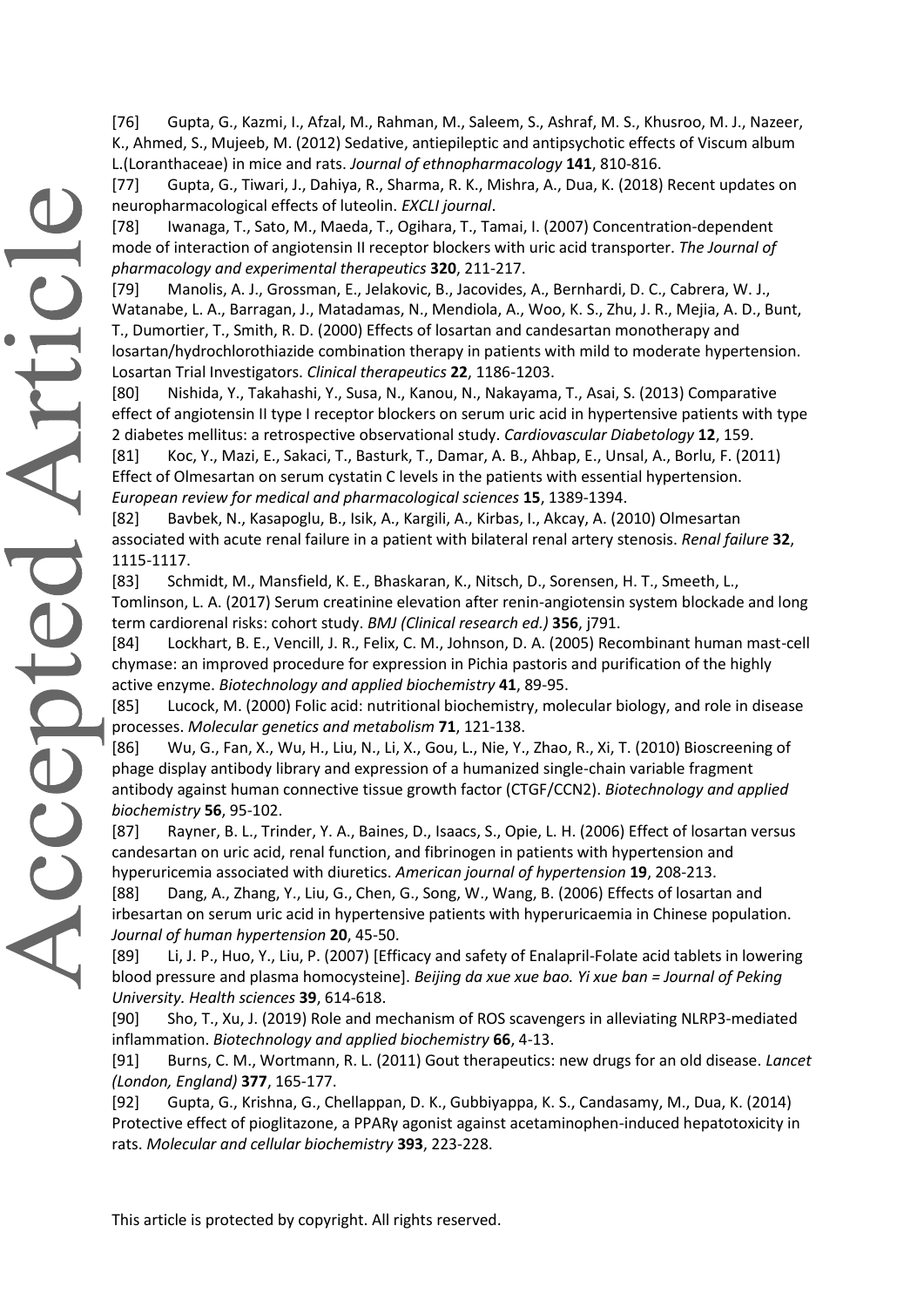[76] Gupta, G., Kazmi, I., Afzal, M., Rahman, M., Saleem, S., Ashraf, M. S., Khusroo, M. J., Nazeer, K., Ahmed, S., Mujeeb, M. (2012) Sedative, antiepileptic and antipsychotic effects of Viscum album L.(Loranthaceae) in mice and rats. *Journal of ethnopharmacology* **141**, 810-816.

[77] Gupta, G., Tiwari, J., Dahiya, R., Sharma, R. K., Mishra, A., Dua, K. (2018) Recent updates on neuropharmacological effects of luteolin. *EXCLI journal*.

[78] Iwanaga, T., Sato, M., Maeda, T., Ogihara, T., Tamai, I. (2007) Concentration-dependent mode of interaction of angiotensin II receptor blockers with uric acid transporter. *The Journal of pharmacology and experimental therapeutics* **320**, 211-217.

[79] Manolis, A. J., Grossman, E., Jelakovic, B., Jacovides, A., Bernhardi, D. C., Cabrera, W. J., Watanabe, L. A., Barragan, J., Matadamas, N., Mendiola, A., Woo, K. S., Zhu, J. R., Mejia, A. D., Bunt, T., Dumortier, T., Smith, R. D. (2000) Effects of losartan and candesartan monotherapy and losartan/hydrochlorothiazide combination therapy in patients with mild to moderate hypertension. Losartan Trial Investigators. *Clinical therapeutics* **22**, 1186-1203.

[80] Nishida, Y., Takahashi, Y., Susa, N., Kanou, N., Nakayama, T., Asai, S. (2013) Comparative effect of angiotensin II type I receptor blockers on serum uric acid in hypertensive patients with type 2 diabetes mellitus: a retrospective observational study. *Cardiovascular Diabetology* **12**, 159.

[81] Koc, Y., Mazi, E., Sakaci, T., Basturk, T., Damar, A. B., Ahbap, E., Unsal, A., Borlu, F. (2011) Effect of Olmesartan on serum cystatin C levels in the patients with essential hypertension. *European review for medical and pharmacological sciences* **15**, 1389-1394.

[82] Bavbek, N., Kasapoglu, B., Isik, A., Kargili, A., Kirbas, I., Akcay, A. (2010) Olmesartan associated with acute renal failure in a patient with bilateral renal artery stenosis. *Renal failure* **32**, 1115-1117.

[83] Schmidt, M., Mansfield, K. E., Bhaskaran, K., Nitsch, D., Sorensen, H. T., Smeeth, L., Tomlinson, L. A. (2017) Serum creatinine elevation after renin-angiotensin system blockade and long term cardiorenal risks: cohort study. *BMJ (Clinical research ed.)* **356**, j791.

[84] Lockhart, B. E., Vencill, J. R., Felix, C. M., Johnson, D. A. (2005) Recombinant human mast-cell chymase: an improved procedure for expression in Pichia pastoris and purification of the highly active enzyme. *Biotechnology and applied biochemistry* **41**, 89-95.

[85] Lucock, M. (2000) Folic acid: nutritional biochemistry, molecular biology, and role in disease processes. *Molecular genetics and metabolism* **71**, 121-138.

[86] Wu, G., Fan, X., Wu, H., Liu, N., Li, X., Gou, L., Nie, Y., Zhao, R., Xi, T. (2010) Bioscreening of phage display antibody library and expression of a humanized single-chain variable fragment antibody against human connective tissue growth factor (CTGF/CCN2). *Biotechnology and applied biochemistry* **56**, 95-102.

[87] Rayner, B. L., Trinder, Y. A., Baines, D., Isaacs, S., Opie, L. H. (2006) Effect of losartan versus candesartan on uric acid, renal function, and fibrinogen in patients with hypertension and hyperuricemia associated with diuretics. *American journal of hypertension* **19**, 208-213.

[88] Dang, A., Zhang, Y., Liu, G., Chen, G., Song, W., Wang, B. (2006) Effects of losartan and irbesartan on serum uric acid in hypertensive patients with hyperuricaemia in Chinese population. *Journal of human hypertension* **20**, 45-50.

[89] Li, J. P., Huo, Y., Liu, P. (2007) [Efficacy and safety of Enalapril-Folate acid tablets in lowering blood pressure and plasma homocysteine]. *Beijing da xue xue bao. Yi xue ban = Journal of Peking University. Health sciences* **39**, 614-618.

[90] Sho, T., Xu, J. (2019) Role and mechanism of ROS scavengers in alleviating NLRP3-mediated inflammation. *Biotechnology and applied biochemistry* **66**, 4-13.

[91] Burns, C. M., Wortmann, R. L. (2011) Gout therapeutics: new drugs for an old disease. *Lancet (London, England)* **377**, 165-177.

[92] Gupta, G., Krishna, G., Chellappan, D. K., Gubbiyappa, K. S., Candasamy, M., Dua, K. (2014) Protective effect of pioglitazone, a PPARγ agonist against acetaminophen-induced hepatotoxicity in rats. *Molecular and cellular biochemistry* **393**, 223-228.